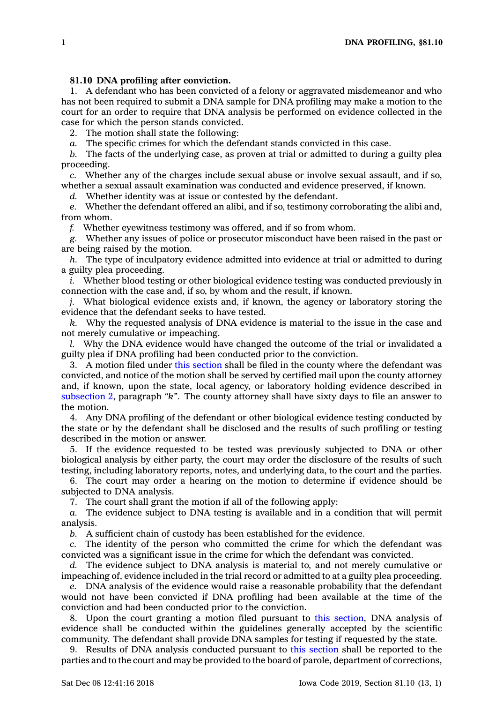## **81.10 DNA profiling after conviction.**

1. A defendant who has been convicted of <sup>a</sup> felony or aggravated misdemeanor and who has not been required to submit <sup>a</sup> DNA sample for DNA profiling may make <sup>a</sup> motion to the court for an order to require that DNA analysis be performed on evidence collected in the case for which the person stands convicted.

2. The motion shall state the following:

*a.* The specific crimes for which the defendant stands convicted in this case.

*b.* The facts of the underlying case, as proven at trial or admitted to during <sup>a</sup> guilty plea proceeding.

*c.* Whether any of the charges include sexual abuse or involve sexual assault, and if so, whether <sup>a</sup> sexual assault examination was conducted and evidence preserved, if known.

*d.* Whether identity was at issue or contested by the defendant.

*e.* Whether the defendant offered an alibi, and if so, testimony corroborating the alibi and, from whom.

*f.* Whether eyewitness testimony was offered, and if so from whom.

*g.* Whether any issues of police or prosecutor misconduct have been raised in the past or are being raised by the motion.

*h.* The type of inculpatory evidence admitted into evidence at trial or admitted to during <sup>a</sup> guilty plea proceeding.

*i.* Whether blood testing or other biological evidence testing was conducted previously in connection with the case and, if so, by whom and the result, if known.

*j.* What biological evidence exists and, if known, the agency or laboratory storing the evidence that the defendant seeks to have tested.

*k.* Why the requested analysis of DNA evidence is material to the issue in the case and not merely cumulative or impeaching.

*l.* Why the DNA evidence would have changed the outcome of the trial or invalidated <sup>a</sup> guilty plea if DNA profiling had been conducted prior to the conviction.

3. A motion filed under this [section](https://www.legis.iowa.gov/docs/code/81.10.pdf) shall be filed in the county where the defendant was convicted, and notice of the motion shall be served by certified mail upon the county attorney and, if known, upon the state, local agency, or laboratory holding evidence described in [subsection](https://www.legis.iowa.gov/docs/code/81.10.pdf) 2, paragraph *"k"*. The county attorney shall have sixty days to file an answer to the motion.

4. Any DNA profiling of the defendant or other biological evidence testing conducted by the state or by the defendant shall be disclosed and the results of such profiling or testing described in the motion or answer.

5. If the evidence requested to be tested was previously subjected to DNA or other biological analysis by either party, the court may order the disclosure of the results of such testing, including laboratory reports, notes, and underlying data, to the court and the parties.

6. The court may order <sup>a</sup> hearing on the motion to determine if evidence should be subjected to DNA analysis.

7. The court shall grant the motion if all of the following apply:

*a.* The evidence subject to DNA testing is available and in <sup>a</sup> condition that will permit analysis.

*b.* A sufficient chain of custody has been established for the evidence.

*c.* The identity of the person who committed the crime for which the defendant was convicted was <sup>a</sup> significant issue in the crime for which the defendant was convicted.

*d.* The evidence subject to DNA analysis is material to, and not merely cumulative or impeaching of, evidence included in the trial record or admitted to at <sup>a</sup> guilty plea proceeding.

*e.* DNA analysis of the evidence would raise <sup>a</sup> reasonable probability that the defendant would not have been convicted if DNA profiling had been available at the time of the conviction and had been conducted prior to the conviction.

8. Upon the court granting <sup>a</sup> motion filed pursuant to this [section](https://www.legis.iowa.gov/docs/code/81.10.pdf), DNA analysis of evidence shall be conducted within the guidelines generally accepted by the scientific community. The defendant shall provide DNA samples for testing if requested by the state.

9. Results of DNA analysis conducted pursuant to this [section](https://www.legis.iowa.gov/docs/code/81.10.pdf) shall be reported to the parties and to the court and may be provided to the board of parole, department of corrections,